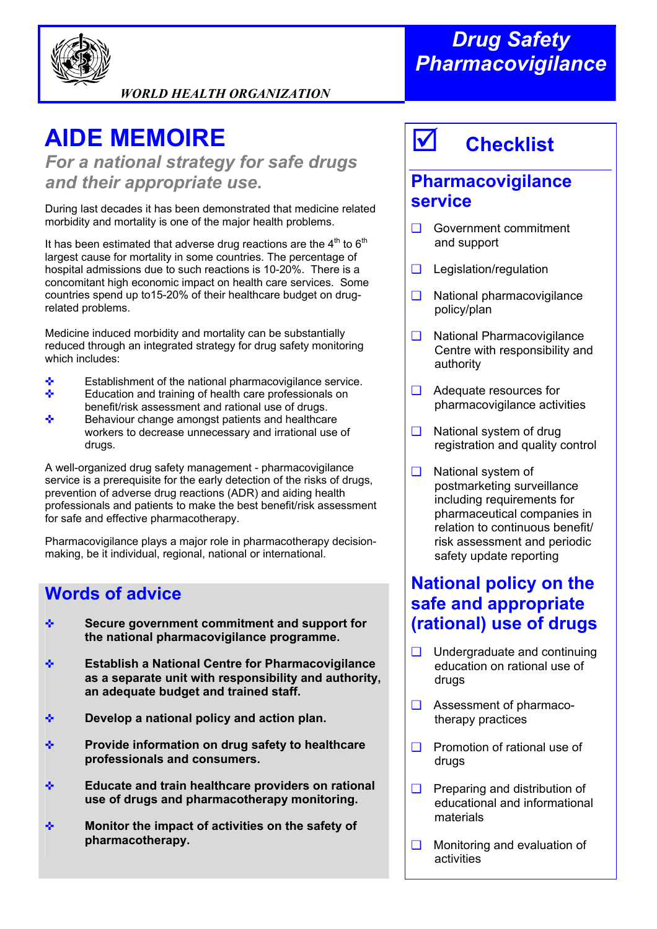

*WORLD HEALTH ORGANIZATION* 

# **AIDE MEMOIRE**

*For a national strategy for safe drugs and their appropriate use***.**

During last decades it has been demonstrated that medicine related morbidity and mortality is one of the major health problems.

It has been estimated that adverse drug reactions are the  $4<sup>th</sup>$  to  $6<sup>th</sup>$ largest cause for mortality in some countries. The percentage of hospital admissions due to such reactions is 10-20%. There is a concomitant high economic impact on health care services. Some countries spend up to15-20% of their healthcare budget on drugrelated problems.

Medicine induced morbidity and mortality can be substantially reduced through an integrated strategy for drug safety monitoring which includes:

- ✜ Establishment of the national pharmacovigilance service.
- ✜ Education and training of health care professionals on benefit/risk assessment and rational use of drugs.
- ✜ Behaviour change amongst patients and healthcare workers to decrease unnecessary and irrational use of drugs.

A well-organized drug safety management - pharmacovigilance service is a prerequisite for the early detection of the risks of drugs, prevention of adverse drug reactions (ADR) and aiding health professionals and patients to make the best benefit/risk assessment for safe and effective pharmacotherapy.

Pharmacovigilance plays a major role in pharmacotherapy decisionmaking, be it individual, regional, national or international.

#### **Words of advice**

- ✜ **Secure government commitment and support for the national pharmacovigilance programme.**
- ✜ **Establish a National Centre for Pharmacovigilance as a separate unit with responsibility and authority, an adequate budget and trained staff.**
- ✜ **Develop a national policy and action plan.**
- ✜ **Provide information on drug safety to healthcare professionals and consumers.**
- ✜ **Educate and train healthcare providers on rational use of drugs and pharmacotherapy monitoring.**
- ✜ **Monitor the impact of activities on the safety of pharmacotherapy.**

## *Drug Safety Pharmacovigilance*

# ; **Checklist**

### **Pharmacovigilance service**

- ❑ Government commitment and support
- ❑ Legislation/regulation
- ❑ National pharmacovigilance policy/plan
- ❑ National Pharmacovigilance Centre with responsibility and authority
- ❑ Adequate resources for pharmacovigilance activities
- ❑ National system of drug registration and quality control
- ❑ National system of postmarketing surveillance including requirements for pharmaceutical companies in relation to continuous benefit/ risk assessment and periodic safety update reporting

### **National policy on the safe and appropriate (rational) use of drugs**

- ❑ Undergraduate and continuing education on rational use of drugs
- ❑ Assessment of pharmaco therapy practices
- ❑ Promotion of rational use of drugs
- ❑ Preparing and distribution of educational and informational materials
- ❑ Monitoring and evaluation of activities